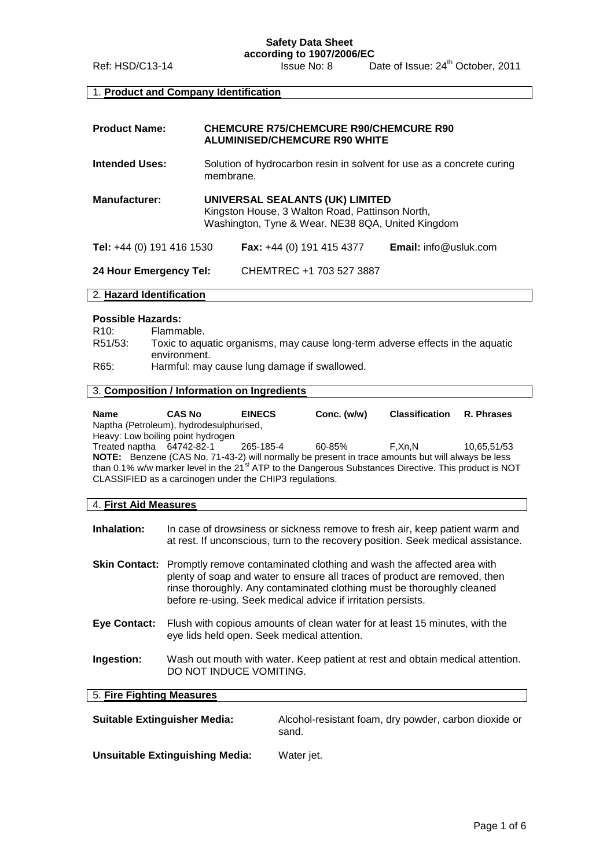**Safety Data Sheet**

**according to 1907/2006/EC** Ref: HSD/C13-14 Issue No: 8 Date of Issue: 24 Date of Issue: 24<sup>th</sup> October, 2011

# 1. **Product and Company Identification**

| <b>Product Name:</b>      | <b>CHEMCURE R75/CHEMCURE R90/CHEMCURE R90</b><br><b>ALUMINISED/CHEMCURE R90 WHITE</b>                                                   |                                    |                              |
|---------------------------|-----------------------------------------------------------------------------------------------------------------------------------------|------------------------------------|------------------------------|
| <b>Intended Uses:</b>     | Solution of hydrocarbon resin in solvent for use as a concrete curing<br>membrane.                                                      |                                    |                              |
| <b>Manufacturer:</b>      | UNIVERSAL SEALANTS (UK) LIMITED<br>Kingston House, 3 Walton Road, Pattinson North,<br>Washington, Tyne & Wear. NE38 8QA, United Kingdom |                                    |                              |
| Tel: +44 (0) 191 416 1530 |                                                                                                                                         | <b>Fax:</b> $+44$ (0) 191 415 4377 | <b>Email:</b> info@usluk.com |
| 24 Hour Emergency Tel:    |                                                                                                                                         | CHEMTREC +1 703 527 3887           |                              |

## 2. **Hazard Identification**

#### **Possible Hazards:**

| R10:    | Flammable.                                                                     |
|---------|--------------------------------------------------------------------------------|
| R51/53: | Toxic to aquatic organisms, may cause long-term adverse effects in the aquatic |
|         | environment.                                                                   |
| R65:    | Harmful: may cause lung damage if swallowed.                                   |

## 3. **Composition / Information on Ingredients**

| Name                                                                                                     | <b>CAS No</b>                                                                                                     | <b>EINECS</b> | Conc. $(w/w)$ | <b>Classification</b> | R. Phrases  |
|----------------------------------------------------------------------------------------------------------|-------------------------------------------------------------------------------------------------------------------|---------------|---------------|-----------------------|-------------|
|                                                                                                          | Naptha (Petroleum), hydrodesulphurised,                                                                           |               |               |                       |             |
|                                                                                                          | Heavy: Low boiling point hydrogen                                                                                 |               |               |                       |             |
| Treated naptha 64742-82-1                                                                                |                                                                                                                   | 265-185-4     | 60-85%        | F.Xn.N                | 10.65.51/53 |
| <b>NOTE:</b> Benzene (CAS No. 71-43-2) will normally be present in trace amounts but will always be less |                                                                                                                   |               |               |                       |             |
|                                                                                                          | than 0.1% w/w marker level in the 21 <sup>st</sup> ATP to the Dangerous Substances Directive. This product is NOT |               |               |                       |             |
| CLASSIFIED as a carcinogen under the CHIP3 regulations.                                                  |                                                                                                                   |               |               |                       |             |

## 4. **First Aid Measures**

| Inhalation:               |                                                                                                                                                                                                                                                                                                                    | In case of drowsiness or sickness remove to fresh air, keep patient warm and<br>at rest. If unconscious, turn to the recovery position. Seek medical assistance. |  |
|---------------------------|--------------------------------------------------------------------------------------------------------------------------------------------------------------------------------------------------------------------------------------------------------------------------------------------------------------------|------------------------------------------------------------------------------------------------------------------------------------------------------------------|--|
|                           | <b>Skin Contact:</b> Promptly remove contaminated clothing and wash the affected area with<br>plenty of soap and water to ensure all traces of product are removed, then<br>rinse thoroughly. Any contaminated clothing must be thoroughly cleaned<br>before re-using. Seek medical advice if irritation persists. |                                                                                                                                                                  |  |
| <b>Eve Contact:</b>       | Flush with copious amounts of clean water for at least 15 minutes, with the<br>eye lids held open. Seek medical attention.                                                                                                                                                                                         |                                                                                                                                                                  |  |
| Ingestion:                | Wash out mouth with water. Keep patient at rest and obtain medical attention.<br>DO NOT INDUCE VOMITING.                                                                                                                                                                                                           |                                                                                                                                                                  |  |
| 5. Fire Fighting Measures |                                                                                                                                                                                                                                                                                                                    |                                                                                                                                                                  |  |
|                           | <b>Suitable Extinguisher Media:</b>                                                                                                                                                                                                                                                                                | Alcohol-resistant foam, dry powder, carbon dioxide or<br>sand.                                                                                                   |  |

**Unsuitable Extinguishing Media:** Water jet.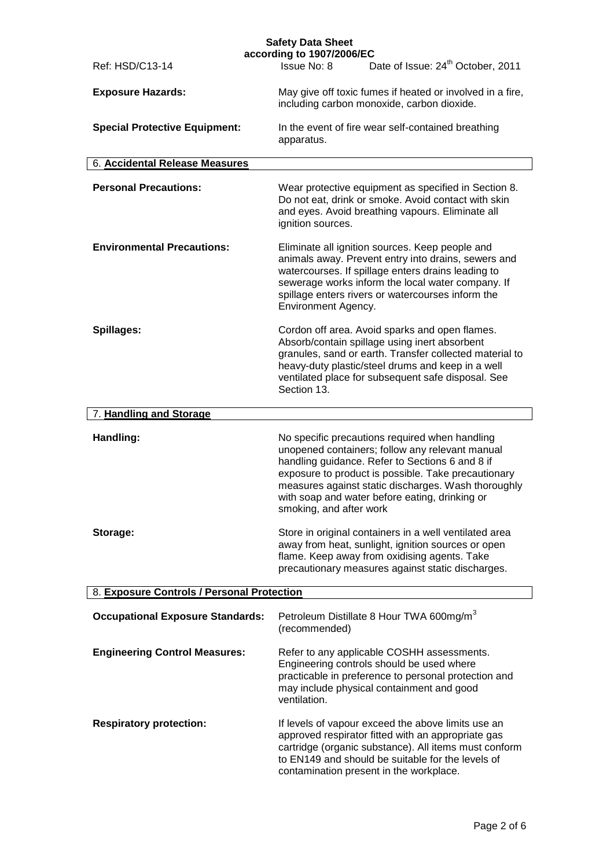|                                            | <b>Safety Data Sheet</b>                                                                                                                                                                                                                                                                                                                        |
|--------------------------------------------|-------------------------------------------------------------------------------------------------------------------------------------------------------------------------------------------------------------------------------------------------------------------------------------------------------------------------------------------------|
| Ref: HSD/C13-14                            | according to 1907/2006/EC<br>Date of Issue: 24 <sup>th</sup> October, 2011<br>Issue No: 8                                                                                                                                                                                                                                                       |
| <b>Exposure Hazards:</b>                   | May give off toxic fumes if heated or involved in a fire,<br>including carbon monoxide, carbon dioxide.                                                                                                                                                                                                                                         |
| <b>Special Protective Equipment:</b>       | In the event of fire wear self-contained breathing<br>apparatus.                                                                                                                                                                                                                                                                                |
| 6. Accidental Release Measures             |                                                                                                                                                                                                                                                                                                                                                 |
| <b>Personal Precautions:</b>               | Wear protective equipment as specified in Section 8.<br>Do not eat, drink or smoke. Avoid contact with skin<br>and eyes. Avoid breathing vapours. Eliminate all<br>ignition sources.                                                                                                                                                            |
| <b>Environmental Precautions:</b>          | Eliminate all ignition sources. Keep people and<br>animals away. Prevent entry into drains, sewers and<br>watercourses. If spillage enters drains leading to<br>sewerage works inform the local water company. If<br>spillage enters rivers or watercourses inform the<br>Environment Agency.                                                   |
| Spillages:                                 | Cordon off area. Avoid sparks and open flames.<br>Absorb/contain spillage using inert absorbent<br>granules, sand or earth. Transfer collected material to<br>heavy-duty plastic/steel drums and keep in a well<br>ventilated place for subsequent safe disposal. See<br>Section 13.                                                            |
| 7. Handling and Storage                    |                                                                                                                                                                                                                                                                                                                                                 |
| Handling:                                  | No specific precautions required when handling<br>unopened containers; follow any relevant manual<br>handling guidance. Refer to Sections 6 and 8 if<br>exposure to product is possible. Take precautionary<br>measures against static discharges. Wash thoroughly<br>with soap and water before eating, drinking or<br>smoking, and after work |
| Storage:                                   | Store in original containers in a well ventilated area<br>away from heat, sunlight, ignition sources or open<br>flame. Keep away from oxidising agents. Take<br>precautionary measures against static discharges.                                                                                                                               |
| 8. Exposure Controls / Personal Protection |                                                                                                                                                                                                                                                                                                                                                 |
| <b>Occupational Exposure Standards:</b>    | Petroleum Distillate 8 Hour TWA 600mg/m <sup>3</sup><br>(recommended)                                                                                                                                                                                                                                                                           |
| <b>Engineering Control Measures:</b>       | Refer to any applicable COSHH assessments.<br>Engineering controls should be used where<br>practicable in preference to personal protection and<br>may include physical containment and good<br>ventilation.                                                                                                                                    |
| <b>Respiratory protection:</b>             | If levels of vapour exceed the above limits use an<br>approved respirator fitted with an appropriate gas<br>cartridge (organic substance). All items must conform<br>to EN149 and should be suitable for the levels of<br>contamination present in the workplace.                                                                               |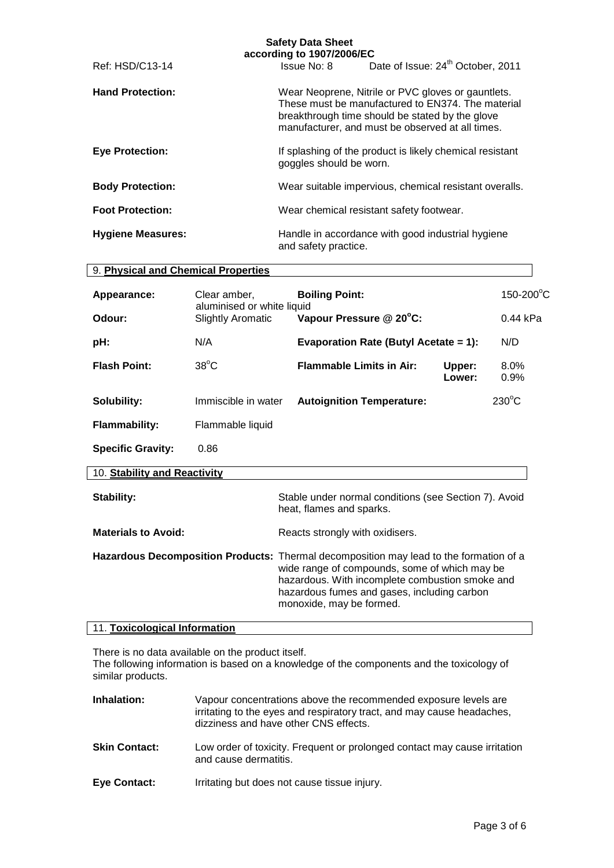|                          | according to 1907/2006/EC |                                                                                                                                                                                                                |
|--------------------------|---------------------------|----------------------------------------------------------------------------------------------------------------------------------------------------------------------------------------------------------------|
| Ref: HSD/C13-14          | Issue No: 8               | Date of Issue: 24 <sup>th</sup> October, 2011                                                                                                                                                                  |
| <b>Hand Protection:</b>  |                           | Wear Neoprene, Nitrile or PVC gloves or gauntlets.<br>These must be manufactured to EN374. The material<br>breakthrough time should be stated by the glove<br>manufacturer, and must be observed at all times. |
| <b>Eye Protection:</b>   | goggles should be worn.   | If splashing of the product is likely chemical resistant                                                                                                                                                       |
| <b>Body Protection:</b>  |                           | Wear suitable impervious, chemical resistant overalls.                                                                                                                                                         |
| <b>Foot Protection:</b>  |                           | Wear chemical resistant safety footwear.                                                                                                                                                                       |
| <b>Hygiene Measures:</b> | and safety practice.      | Handle in accordance with good industrial hygiene                                                                                                                                                              |

## 9. **Physical and Chemical Properties**

| Appearance:              | Clear amber,                                           | <b>Boiling Point:</b>                 |                  | $150-200$ °C    |
|--------------------------|--------------------------------------------------------|---------------------------------------|------------------|-----------------|
| Odour:                   | aluminised or white liquid<br><b>Slightly Aromatic</b> | Vapour Pressure @ 20°C:               |                  | $0.44$ kPa      |
| pH:                      | N/A                                                    | Evaporation Rate (Butyl Acetate = 1): |                  | N/D             |
| <b>Flash Point:</b>      | $38^{\circ}$ C                                         | <b>Flammable Limits in Air:</b>       | Upper:<br>Lower: | $8.0\%$<br>0.9% |
| Solubility:              | Immiscible in water                                    | <b>Autoignition Temperature:</b>      |                  | $230^{\circ}$ C |
| <b>Flammability:</b>     | Flammable liquid                                       |                                       |                  |                 |
| <b>Specific Gravity:</b> | 0.86                                                   |                                       |                  |                 |

## 10. **Stability and Reactivity**

| Stability:                 | Stable under normal conditions (see Section 7). Avoid<br>heat, flames and sparks.                                                                                                                                                                                     |
|----------------------------|-----------------------------------------------------------------------------------------------------------------------------------------------------------------------------------------------------------------------------------------------------------------------|
| <b>Materials to Avoid:</b> | Reacts strongly with oxidisers.                                                                                                                                                                                                                                       |
|                            | Hazardous Decomposition Products: Thermal decomposition may lead to the formation of a<br>wide range of compounds, some of which may be<br>hazardous. With incomplete combustion smoke and<br>hazardous fumes and gases, including carbon<br>monoxide, may be formed. |

## 11. **Toxicological Information**

There is no data available on the product itself.

The following information is based on a knowledge of the components and the toxicology of similar products.

| Inhalation:          | Vapour concentrations above the recommended exposure levels are<br>irritating to the eyes and respiratory tract, and may cause headaches,<br>dizziness and have other CNS effects. |
|----------------------|------------------------------------------------------------------------------------------------------------------------------------------------------------------------------------|
| <b>Skin Contact:</b> | Low order of toxicity. Frequent or prolonged contact may cause irritation                                                                                                          |

- and cause dermatitis.
- **Eye Contact:** Irritating but does not cause tissue injury.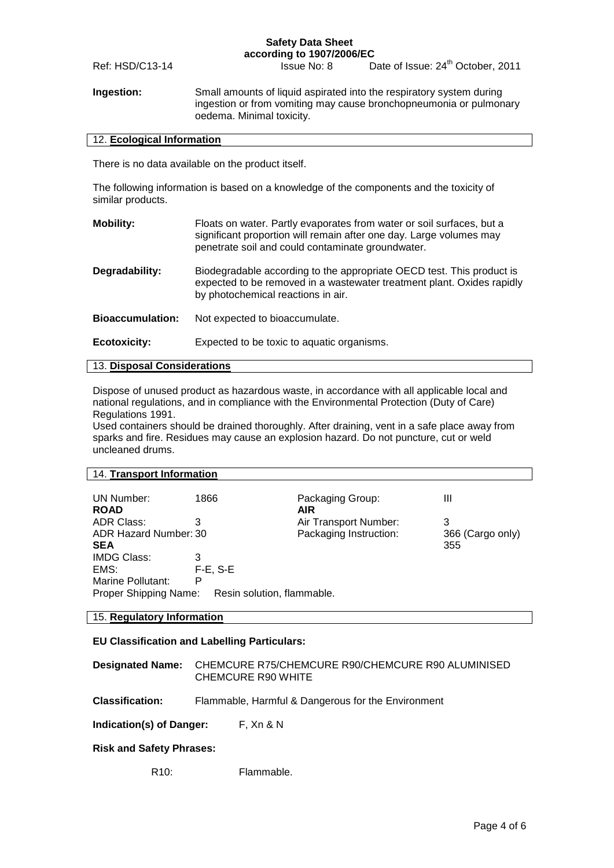#### **Safety Data Sheet according to 1907/2006/EC**

Ref: HSD/C13-14 Issue No: 8

Date of Issue: 24<sup>th</sup> October, 2011

**Ingestion:** Small amounts of liquid aspirated into the respiratory system during ingestion or from vomiting may cause bronchopneumonia or pulmonary oedema. Minimal toxicity.

#### 12. **Ecological Information**

There is no data available on the product itself.

The following information is based on a knowledge of the components and the toxicity of similar products.

| Floats on water. Partly evaporates from water or soil surfaces, but a<br>significant proportion will remain after one day. Large volumes may<br>penetrate soil and could contaminate groundwater. |
|---------------------------------------------------------------------------------------------------------------------------------------------------------------------------------------------------|
| Biodegradable according to the appropriate OECD test. This product is<br>expected to be removed in a wastewater treatment plant. Oxides rapidly<br>by photochemical reactions in air.             |
| Not expected to bioaccumulate.                                                                                                                                                                    |
| Expected to be toxic to aquatic organisms.                                                                                                                                                        |
|                                                                                                                                                                                                   |

# 13. **Disposal Considerations**

Dispose of unused product as hazardous waste, in accordance with all applicable local and national regulations, and in compliance with the Environmental Protection (Duty of Care) Regulations 1991.

Used containers should be drained thoroughly. After draining, vent in a safe place away from sparks and fire. Residues may cause an explosion hazard. Do not puncture, cut or weld uncleaned drums.

# 14. **Transport Information**

| UN Number:            | 1866                       | Packaging Group:       | Ш                |
|-----------------------|----------------------------|------------------------|------------------|
| <b>ROAD</b>           |                            | <b>AIR</b>             |                  |
| <b>ADR Class:</b>     | З                          | Air Transport Number:  | 3                |
| ADR Hazard Number: 30 |                            | Packaging Instruction: | 366 (Cargo only) |
| <b>SEA</b>            |                            |                        | 355              |
| <b>IMDG Class:</b>    | 3                          |                        |                  |
| EMS:                  | $F-E$ , S-E                |                        |                  |
| Marine Pollutant:     | P                          |                        |                  |
| Proper Shipping Name: | Resin solution, flammable. |                        |                  |
|                       |                            |                        |                  |

# 15. **Regulatory Information**

#### **EU Classification and Labelling Particulars:**

| Designated Name: CHEMCURE R75/CHEMCURE R90/CHEMCURE R90 ALUMINISED |
|--------------------------------------------------------------------|
| CHEMCURE R90 WHITE                                                 |

**Classification:** Flammable, Harmful & Dangerous for the Environment

**Indication(s) of Danger:** F, Xn & N

### **Risk and Safety Phrases:**

R<sub>10</sub>: Flammable.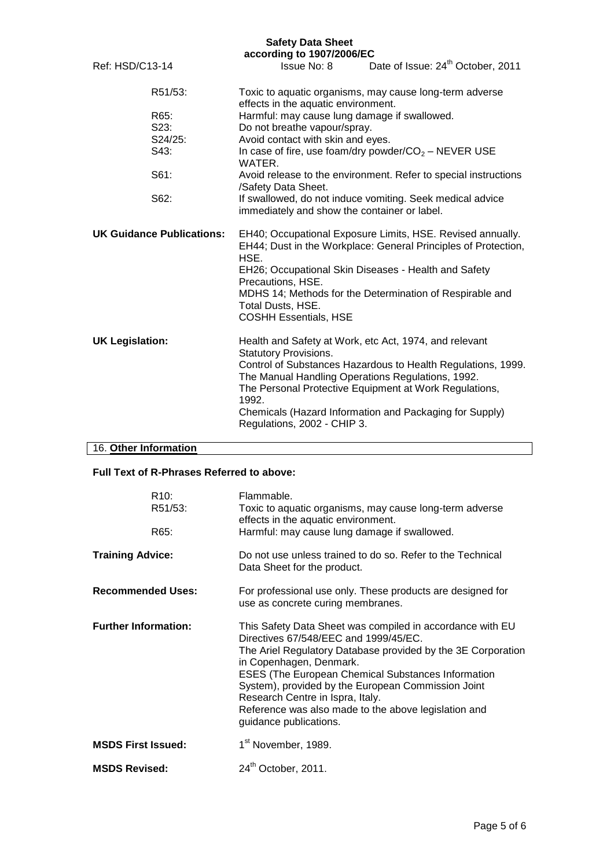# **Safety Data Sheet**

| according to 1907/2006/EC        |         |                                                                                                                                                                                                                                                                                                                                    |                                                                                                                                                                                   |  |  |
|----------------------------------|---------|------------------------------------------------------------------------------------------------------------------------------------------------------------------------------------------------------------------------------------------------------------------------------------------------------------------------------------|-----------------------------------------------------------------------------------------------------------------------------------------------------------------------------------|--|--|
| Ref: HSD/C13-14                  |         |                                                                                                                                                                                                                                                                                                                                    | Issue No: 8 Date of Issue: 24 <sup>th</sup> October, 2011                                                                                                                         |  |  |
| R51/53:                          |         | Toxic to aquatic organisms, may cause long-term adverse<br>effects in the aquatic environment.                                                                                                                                                                                                                                     |                                                                                                                                                                                   |  |  |
| R65:                             |         | Harmful: may cause lung damage if swallowed.                                                                                                                                                                                                                                                                                       |                                                                                                                                                                                   |  |  |
| S23:                             |         | Do not breathe vapour/spray.                                                                                                                                                                                                                                                                                                       |                                                                                                                                                                                   |  |  |
|                                  | S24/25: | Avoid contact with skin and eyes.                                                                                                                                                                                                                                                                                                  |                                                                                                                                                                                   |  |  |
| S43:                             |         | In case of fire, use foam/dry powder/ $CO2$ – NEVER USE<br>WATER.                                                                                                                                                                                                                                                                  |                                                                                                                                                                                   |  |  |
| S61:                             |         | Avoid release to the environment. Refer to special instructions<br>/Safety Data Sheet.                                                                                                                                                                                                                                             |                                                                                                                                                                                   |  |  |
|                                  | S62:    | immediately and show the container or label.                                                                                                                                                                                                                                                                                       | If swallowed, do not induce vomiting. Seek medical advice                                                                                                                         |  |  |
| <b>UK Guidance Publications:</b> |         | EH40; Occupational Exposure Limits, HSE. Revised annually.<br>EH44; Dust in the Workplace: General Principles of Protection,<br>HSE.<br>EH26; Occupational Skin Diseases - Health and Safety<br>Precautions, HSE.<br>MDHS 14; Methods for the Determination of Respirable and<br>Total Dusts, HSE.<br><b>COSHH Essentials, HSE</b> |                                                                                                                                                                                   |  |  |
| <b>UK Legislation:</b>           |         | Health and Safety at Work, etc Act, 1974, and relevant<br><b>Statutory Provisions.</b><br>The Manual Handling Operations Regulations, 1992.<br>1992.<br>Regulations, 2002 - CHIP 3.                                                                                                                                                | Control of Substances Hazardous to Health Regulations, 1999.<br>The Personal Protective Equipment at Work Regulations,<br>Chemicals (Hazard Information and Packaging for Supply) |  |  |

# 16. **Other Information**

## **Full Text of R-Phrases Referred to above:**

| R <sub>10</sub> :<br>R51/53:<br>R65: | Flammable.<br>Toxic to aquatic organisms, may cause long-term adverse<br>effects in the aquatic environment.<br>Harmful: may cause lung damage if swallowed.                                                                                                                                                                                                                                                                           |  |
|--------------------------------------|----------------------------------------------------------------------------------------------------------------------------------------------------------------------------------------------------------------------------------------------------------------------------------------------------------------------------------------------------------------------------------------------------------------------------------------|--|
| <b>Training Advice:</b>              | Do not use unless trained to do so. Refer to the Technical<br>Data Sheet for the product.                                                                                                                                                                                                                                                                                                                                              |  |
| <b>Recommended Uses:</b>             | For professional use only. These products are designed for<br>use as concrete curing membranes.                                                                                                                                                                                                                                                                                                                                        |  |
| <b>Further Information:</b>          | This Safety Data Sheet was compiled in accordance with EU<br>Directives 67/548/EEC and 1999/45/EC.<br>The Ariel Regulatory Database provided by the 3E Corporation<br>in Copenhagen, Denmark.<br><b>ESES (The European Chemical Substances Information</b><br>System), provided by the European Commission Joint<br>Research Centre in Ispra, Italy.<br>Reference was also made to the above legislation and<br>guidance publications. |  |
| <b>MSDS First Issued:</b>            | 1 <sup>st</sup> November, 1989.                                                                                                                                                                                                                                                                                                                                                                                                        |  |
| <b>MSDS Revised:</b>                 | 24 <sup>th</sup> October, 2011.                                                                                                                                                                                                                                                                                                                                                                                                        |  |